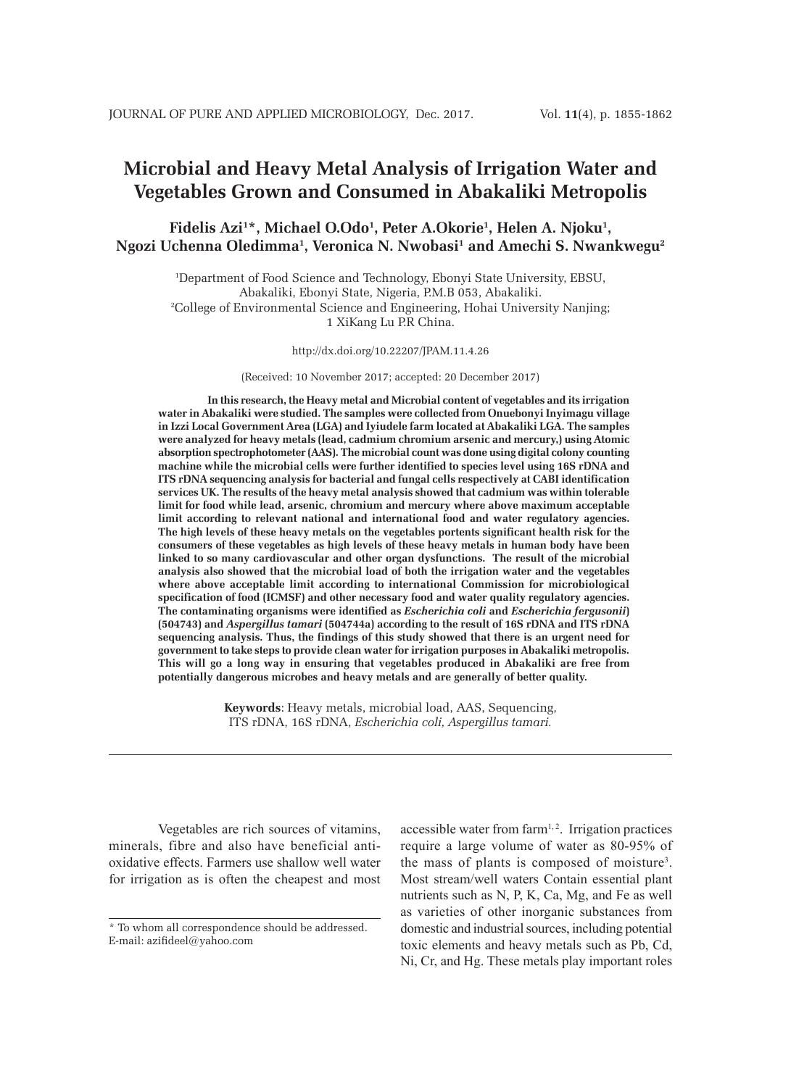# **Microbial and Heavy Metal Analysis of Irrigation Water and Vegetables Grown and Consumed in Abakaliki Metropolis**

# **Fidelis Azi1 \*, Michael O.Odo1 , Peter A.Okorie1 , Helen A. Njoku1 , Ngozi Uchenna Oledimma1 , Veronica N. Nwobasi1 and Amechi S. Nwankwegu2**

1 Department of Food Science and Technology, Ebonyi State University, EBSU, Abakaliki, Ebonyi State, Nigeria, P.M.B 053, Abakaliki. 2 College of Environmental Science and Engineering, Hohai University Nanjing; 1 XiKang Lu P.R China.

http://dx.doi.org/10.22207/JPAM.11.4.26

(Received: 10 November 2017; accepted: 20 December 2017)

**In this research, the Heavy metal and Microbial content of vegetables and its irrigation water in Abakaliki were studied. The samples were collected from Onuebonyi Inyimagu village in Izzi Local Government Area (LGA) and Iyiudele farm located at Abakaliki LGA. The samples were analyzed for heavy metals (lead, cadmium chromium arsenic and mercury,) using Atomic absorption spectrophotometer (AAS). The microbial count was done using digital colony counting machine while the microbial cells were further identified to species level using 16S rDNA and ITS rDNA sequencing analysis for bacterial and fungal cells respectively at CABI identification services UK. The results of the heavy metal analysis showed that cadmium was within tolerable limit for food while lead, arsenic, chromium and mercury where above maximum acceptable limit according to relevant national and international food and water regulatory agencies. The high levels of these heavy metals on the vegetables portents significant health risk for the consumers of these vegetables as high levels of these heavy metals in human body have been linked to so many cardiovascular and other organ dysfunctions. The result of the microbial analysis also showed that the microbial load of both the irrigation water and the vegetables where above acceptable limit according to international Commission for microbiological specification of food (ICMSF) and other necessary food and water quality regulatory agencies. The contaminating organisms were identified as** *Escherichia coli* **and** *Escherichia fergusonii***) (504743) and** *Aspergillus tamari* **(504744a) according to the result of 16S rDNA and ITS rDNA sequencing analysis. Thus, the findings of this study showed that there is an urgent need for government to take steps to provide clean water for irrigation purposes in Abakaliki metropolis. This will go a long way in ensuring that vegetables produced in Abakaliki are free from potentially dangerous microbes and heavy metals and are generally of better quality.**

> **Keywords**: Heavy metals, microbial load, AAS, Sequencing, ITS rDNA, 16S rDNA, *Escherichia coli, Aspergillus tamari.*

Vegetables are rich sources of vitamins, minerals, fibre and also have beneficial antioxidative effects. Farmers use shallow well water for irrigation as is often the cheapest and most

accessible water from farm $1, 2$ . Irrigation practices require a large volume of water as 80-95% of the mass of plants is composed of moisture3 . Most stream/well waters Contain essential plant nutrients such as N, P, K, Ca, Mg, and Fe as well as varieties of other inorganic substances from domestic and industrial sources, including potential toxic elements and heavy metals such as Pb, Cd, Ni, Cr, and Hg. These metals play important roles

<sup>\*</sup> To whom all correspondence should be addressed. E-mail: azifideel@yahoo.com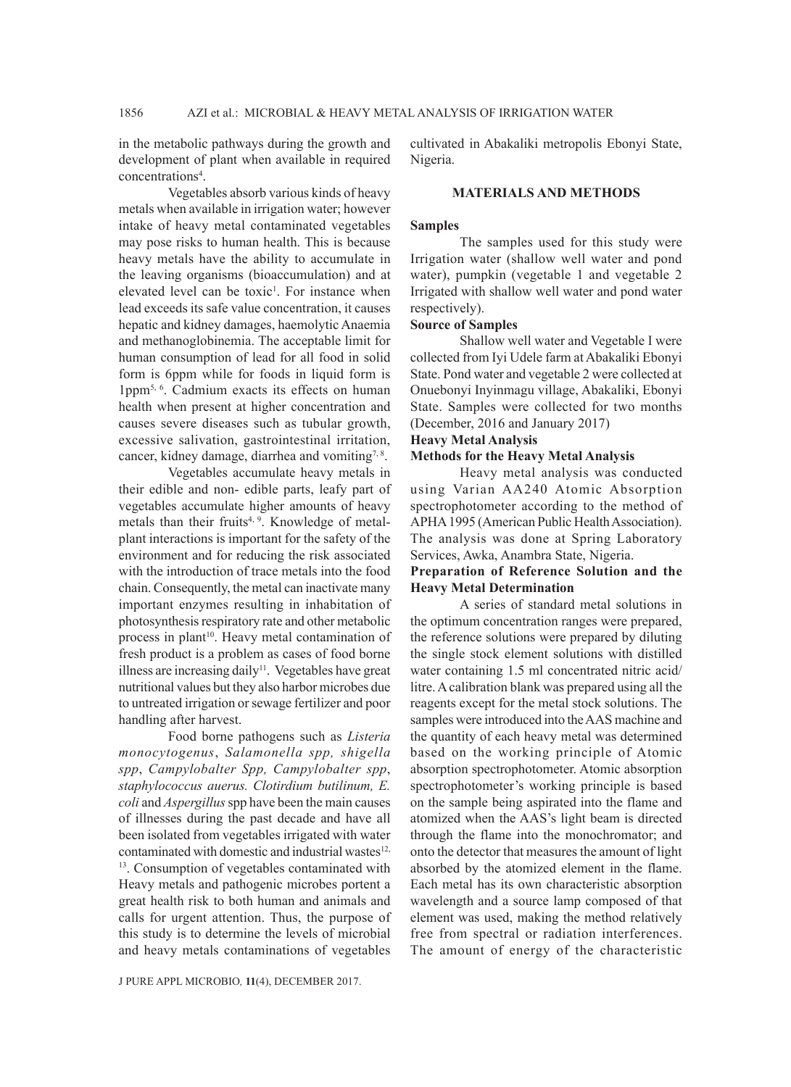1856 AZI et al.: MICROBIAL & HEAVY METAL ANALYSIS OF IRRIGATION WATER

in the metabolic pathways during the growth and development of plant when available in required concentrations<sup>4</sup>.

Vegetables absorb various kinds of heavy metals when available in irrigation water; however intake of heavy metal contaminated vegetables may pose risks to human health. This is because heavy metals have the ability to accumulate in the leaving organisms (bioaccumulation) and at elevated level can be toxic<sup>1</sup>. For instance when lead exceeds its safe value concentration, it causes hepatic and kidney damages, haemolytic Anaemia and methanoglobinemia. The acceptable limit for human consumption of lead for all food in solid form is 6ppm while for foods in liquid form is 1ppm5, 6. Cadmium exacts its effects on human health when present at higher concentration and causes severe diseases such as tubular growth, excessive salivation, gastrointestinal irritation, cancer, kidney damage, diarrhea and vomiting<sup>7, 8</sup>.

Vegetables accumulate heavy metals in their edible and non- edible parts, leafy part of vegetables accumulate higher amounts of heavy metals than their fruits<sup>4, 9</sup>. Knowledge of metalplant interactions is important for the safety of the environment and for reducing the risk associated with the introduction of trace metals into the food chain. Consequently, the metal can inactivate many important enzymes resulting in inhabitation of photosynthesis respiratory rate and other metabolic process in plant<sup>10</sup>. Heavy metal contamination of fresh product is a problem as cases of food borne illness are increasing daily<sup>11</sup>. Vegetables have great nutritional values but they also harbor microbes due to untreated irrigation or sewage fertilizer and poor handling after harvest.

Food borne pathogens such as *Listeria monocytogenus*, *Salamonella spp, shigella spp*, *Campylobalter Spp, Campylobalter spp*, *staphylococcus auerus. Clotirdium butilinum, E. coli* and *Aspergillus* spp have been the main causes of illnesses during the past decade and have all been isolated from vegetables irrigated with water contaminated with domestic and industrial wastes<sup>12,</sup> <sup>13</sup>. Consumption of vegetables contaminated with Heavy metals and pathogenic microbes portent a great health risk to both human and animals and calls for urgent attention. Thus, the purpose of this study is to determine the levels of microbial and heavy metals contaminations of vegetables

J PURE APPL MICROBIO*,* **11**(4), DECEMBER 2017.

cultivated in Abakaliki metropolis Ebonyi State, Nigeria.

#### **MATERIALS AND METHODS**

#### **Samples**

The samples used for this study were Irrigation water (shallow well water and pond water), pumpkin (vegetable 1 and vegetable 2 Irrigated with shallow well water and pond water respectively).

## **Source of Samples**

Shallow well water and Vegetable I were collected from Iyi Udele farm at Abakaliki Ebonyi State. Pond water and vegetable 2 were collected at Onuebonyi Inyinmagu village, Abakaliki, Ebonyi State. Samples were collected for two months (December, 2016 and January 2017)

## **Heavy Metal Analysis**

## **Methods for the Heavy Metal Analysis**

Heavy metal analysis was conducted using Varian AA240 Atomic Absorption spectrophotometer according to the method of APHA 1995 (American Public Health Association). The analysis was done at Spring Laboratory Services, Awka, Anambra State, Nigeria.

## **Preparation of Reference Solution and the Heavy Metal Determination**

A series of standard metal solutions in the optimum concentration ranges were prepared, the reference solutions were prepared by diluting the single stock element solutions with distilled water containing 1.5 ml concentrated nitric acid/ litre. A calibration blank was prepared using all the reagents except for the metal stock solutions. The samples were introduced into the AAS machine and the quantity of each heavy metal was determined based on the working principle of Atomic absorption spectrophotometer. Atomic absorption spectrophotometer's working principle is based on the sample being aspirated into the flame and atomized when the AAS's light beam is directed through the flame into the monochromator; and onto the detector that measures the amount of light absorbed by the atomized element in the flame. Each metal has its own characteristic absorption wavelength and a source lamp composed of that element was used, making the method relatively free from spectral or radiation interferences. The amount of energy of the characteristic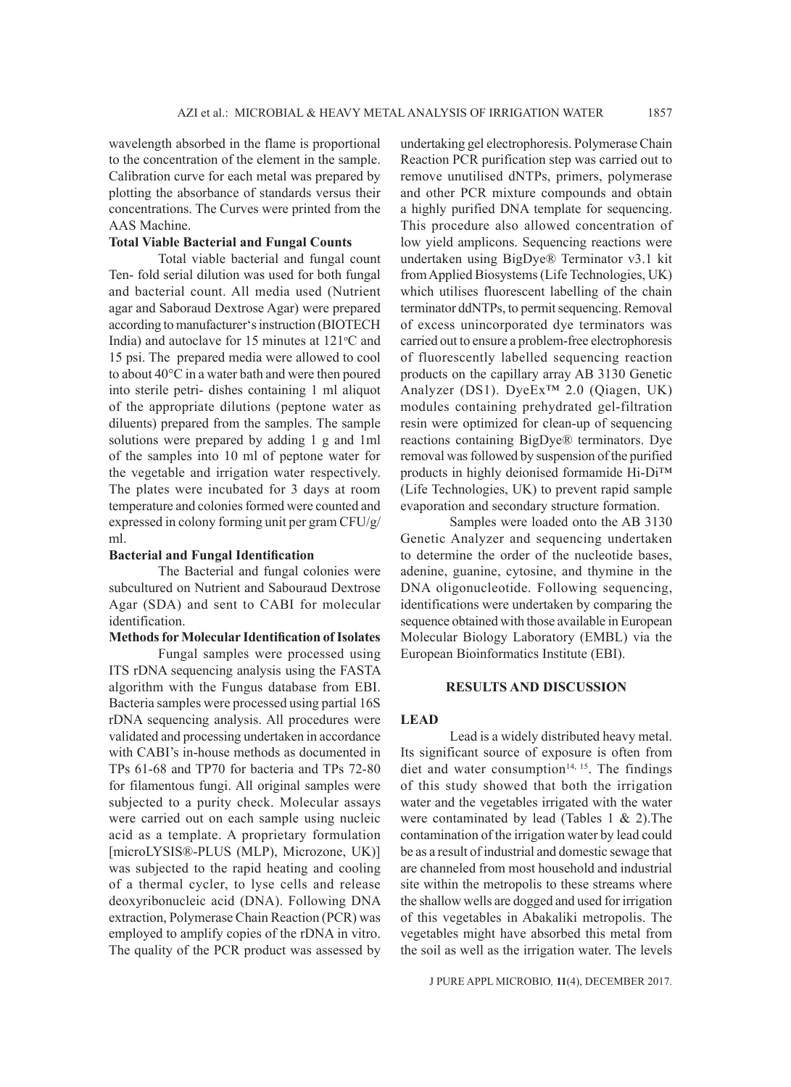wavelength absorbed in the flame is proportional to the concentration of the element in the sample. Calibration curve for each metal was prepared by plotting the absorbance of standards versus their concentrations. The Curves were printed from the AAS Machine.

#### **Total Viable Bacterial and Fungal Counts**

Total viable bacterial and fungal count Ten- fold serial dilution was used for both fungal and bacterial count. All media used (Nutrient agar and Saboraud Dextrose Agar) were prepared according to manufacturer's instruction (BIOTECH India) and autoclave for 15 minutes at  $121^{\circ}$ C and 15 psi. The prepared media were allowed to cool to about 40°C in a water bath and were then poured into sterile petri- dishes containing 1 ml aliquot of the appropriate dilutions (peptone water as diluents) prepared from the samples. The sample solutions were prepared by adding 1 g and 1ml of the samples into 10 ml of peptone water for the vegetable and irrigation water respectively. The plates were incubated for 3 days at room temperature and colonies formed were counted and expressed in colony forming unit per gram CFU/g/ ml.

#### **Bacterial and Fungal Identification**

The Bacterial and fungal colonies were subcultured on Nutrient and Sabouraud Dextrose Agar (SDA) and sent to CABI for molecular identification.

## **Methods for Molecular Identification of Isolates**

Fungal samples were processed using ITS rDNA sequencing analysis using the FASTA algorithm with the Fungus database from EBI. Bacteria samples were processed using partial 16S rDNA sequencing analysis. All procedures were validated and processing undertaken in accordance with CABI's in-house methods as documented in TPs 61-68 and TP70 for bacteria and TPs 72-80 for filamentous fungi. All original samples were subjected to a purity check. Molecular assays were carried out on each sample using nucleic acid as a template. A proprietary formulation [microLYSIS®-PLUS (MLP), Microzone, UK)] was subjected to the rapid heating and cooling of a thermal cycler, to lyse cells and release deoxyribonucleic acid (DNA). Following DNA extraction, Polymerase Chain Reaction (PCR) was employed to amplify copies of the rDNA in vitro. The quality of the PCR product was assessed by

undertaking gel electrophoresis. Polymerase Chain Reaction PCR purification step was carried out to remove unutilised dNTPs, primers, polymerase and other PCR mixture compounds and obtain a highly purified DNA template for sequencing. This procedure also allowed concentration of low yield amplicons. Sequencing reactions were undertaken using BigDye® Terminator v3.1 kit from Applied Biosystems (Life Technologies, UK) which utilises fluorescent labelling of the chain terminator ddNTPs, to permit sequencing. Removal of excess unincorporated dye terminators was carried out to ensure a problem-free electrophoresis of fluorescently labelled sequencing reaction products on the capillary array AB 3130 Genetic Analyzer (DS1). DyeEx™ 2.0 (Qiagen, UK) modules containing prehydrated gel-filtration resin were optimized for clean-up of sequencing reactions containing BigDye® terminators. Dye removal was followed by suspension of the purified products in highly deionised formamide Hi-Di™ (Life Technologies, UK) to prevent rapid sample evaporation and secondary structure formation.

Samples were loaded onto the AB 3130 Genetic Analyzer and sequencing undertaken to determine the order of the nucleotide bases, adenine, guanine, cytosine, and thymine in the DNA oligonucleotide. Following sequencing, identifications were undertaken by comparing the sequence obtained with those available in European Molecular Biology Laboratory (EMBL) via the European Bioinformatics Institute (EBI).

### **RESULTS AND DISCUSSION**

#### **LEAD**

Lead is a widely distributed heavy metal. Its significant source of exposure is often from diet and water consumption<sup>14, 15</sup>. The findings of this study showed that both the irrigation water and the vegetables irrigated with the water were contaminated by lead (Tables 1 & 2).The contamination of the irrigation water by lead could be as a result of industrial and domestic sewage that are channeled from most household and industrial site within the metropolis to these streams where the shallow wells are dogged and used for irrigation of this vegetables in Abakaliki metropolis. The vegetables might have absorbed this metal from the soil as well as the irrigation water. The levels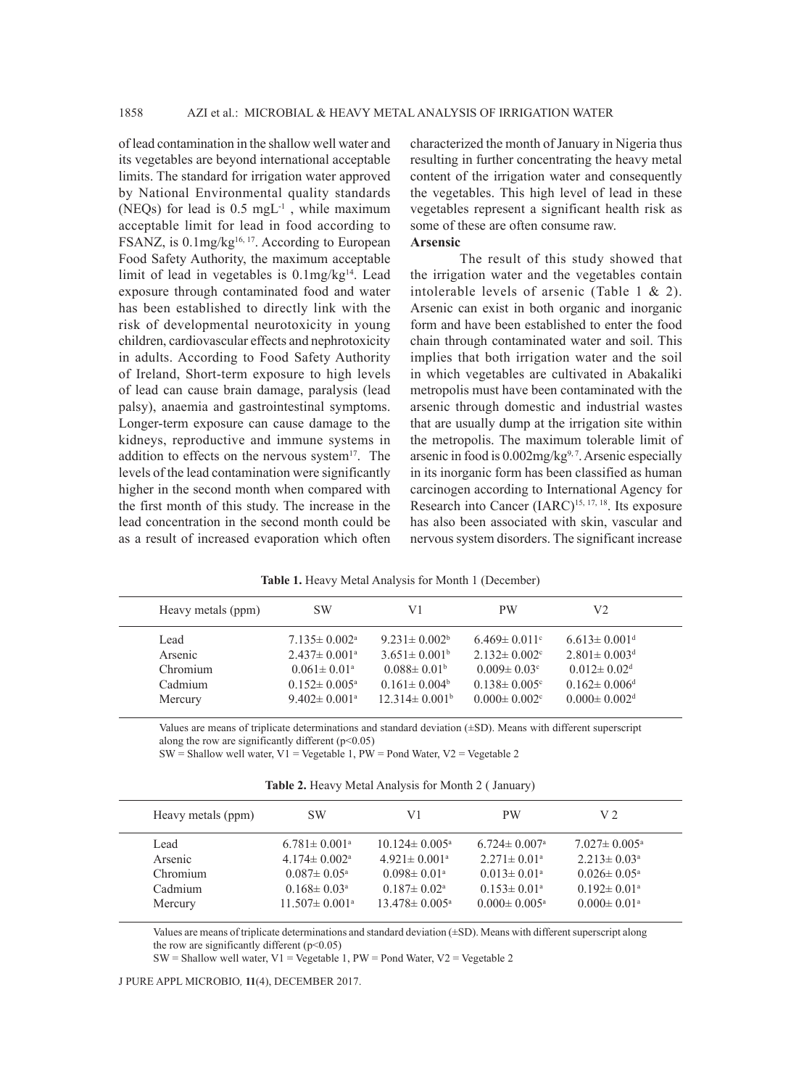of lead contamination in the shallow well water and its vegetables are beyond international acceptable limits. The standard for irrigation water approved by National Environmental quality standards (NEQs) for lead is  $0.5 \text{ mgL}^{-1}$ , while maximum acceptable limit for lead in food according to FSANZ, is  $0.1$ mg/kg<sup>16, 17</sup>. According to European Food Safety Authority, the maximum acceptable limit of lead in vegetables is 0.1mg/kg<sup>14</sup>. Lead exposure through contaminated food and water has been established to directly link with the risk of developmental neurotoxicity in young children, cardiovascular effects and nephrotoxicity in adults. According to Food Safety Authority of Ireland, Short-term exposure to high levels of lead can cause brain damage, paralysis (lead palsy), anaemia and gastrointestinal symptoms. Longer-term exposure can cause damage to the kidneys, reproductive and immune systems in addition to effects on the nervous system $17$ . The levels of the lead contamination were significantly higher in the second month when compared with the first month of this study. The increase in the lead concentration in the second month could be as a result of increased evaporation which often

characterized the month of January in Nigeria thus resulting in further concentrating the heavy metal content of the irrigation water and consequently the vegetables. This high level of lead in these vegetables represent a significant health risk as some of these are often consume raw.

## **Arsensic**

The result of this study showed that the irrigation water and the vegetables contain intolerable levels of arsenic (Table 1 & 2). Arsenic can exist in both organic and inorganic form and have been established to enter the food chain through contaminated water and soil. This implies that both irrigation water and the soil in which vegetables are cultivated in Abakaliki metropolis must have been contaminated with the arsenic through domestic and industrial wastes that are usually dump at the irrigation site within the metropolis. The maximum tolerable limit of arsenic in food is  $0.002$ mg/kg<sup>9,7</sup>. Arsenic especially in its inorganic form has been classified as human carcinogen according to International Agency for Research into Cancer  $(IARC)^{15, 17, 18}$ . Its exposure has also been associated with skin, vascular and nervous system disorders. The significant increase

**Table 1.** Heavy Metal Analysis for Month 1 (December)

| Heavy metals (ppm)                     | <b>SW</b>                                                                                    | V1                                                                                                 | <b>PW</b>                                                                                                                | V2                                                                                                                                  |  |
|----------------------------------------|----------------------------------------------------------------------------------------------|----------------------------------------------------------------------------------------------------|--------------------------------------------------------------------------------------------------------------------------|-------------------------------------------------------------------------------------------------------------------------------------|--|
| Lead<br>Arsenic<br>Chromium<br>Cadmium | $7.135 \pm 0.002$ <sup>a</sup><br>$2.437 \pm 0.001^{\circ}$<br>$0.061 \pm 0.01$ <sup>a</sup> | $9.231 \pm 0.002^b$<br>$3.651 \pm 0.001^b$<br>$0.088 \pm 0.01$ <sup>b</sup><br>$0.161 \pm 0.004^b$ | $6.469 \pm 0.011$ °<br>$2.132 \pm 0.002$ <sup>c</sup><br>$0.009 \pm 0.03$ <sup>c</sup><br>$0.138 \pm 0.005$ <sup>c</sup> | $6.613 \pm 0.001$ <sup>d</sup><br>$2.801 \pm 0.003$ <sup>d</sup><br>$0.012 \pm 0.02$ <sup>d</sup><br>$0.162 \pm 0.006$ <sup>d</sup> |  |
| Mercury                                | $0.152 \pm 0.005^{\text{a}}$<br>$9.402 \pm 0.001$ <sup>a</sup>                               | $12.314 \pm 0.001^{\mathrm{b}}$                                                                    | $0.000 \pm 0.002$ <sup>c</sup>                                                                                           | $0.000 \pm 0.002$ <sup>d</sup>                                                                                                      |  |

Values are means of triplicate determinations and standard deviation (±SD). Means with different superscript along the row are significantly different  $(p<0.05)$ 

 $SW = Shallow$  well water,  $VI = Vegetable 1$ ,  $PW = Pond$  Water,  $V2 = Vegetable 2$ 

| Table 2. Heavy Metal Analysis for Month 2 (January) |  |  |  |
|-----------------------------------------------------|--|--|--|
|-----------------------------------------------------|--|--|--|

| Heavy metals (ppm)                                | <b>SW</b>                                                                                                                                                   | V1                                                                                                                                                               | <b>PW</b>                                                                                                                                          | V 2                                                                                                                                                 |  |
|---------------------------------------------------|-------------------------------------------------------------------------------------------------------------------------------------------------------------|------------------------------------------------------------------------------------------------------------------------------------------------------------------|----------------------------------------------------------------------------------------------------------------------------------------------------|-----------------------------------------------------------------------------------------------------------------------------------------------------|--|
| Lead<br>Arsenic<br>Chromium<br>Cadmium<br>Mercury | $6.781 \pm 0.001$ <sup>a</sup><br>$4.174 \pm 0.002$ <sup>a</sup><br>$0.087 \pm 0.05^{\circ}$<br>$0.168 \pm 0.03^{\circ}$<br>$11.507 \pm 0.001$ <sup>a</sup> | $10.124 \pm 0.005^{\text{a}}$<br>$4.921 \pm 0.001$ <sup>a</sup><br>$0.098 \pm 0.01$ <sup>a</sup><br>$0.187 \pm 0.02^{\text{a}}$<br>$13.478 \pm 0.005^{\text{a}}$ | $6.724 \pm 0.007$ <sup>a</sup><br>$2.271 \pm 0.01^{\circ}$<br>$0.013 \pm 0.01^{\circ}$<br>$0.153 \pm 0.01^{\circ}$<br>$0.000 \pm 0.005^{\text{a}}$ | $7.027 \pm 0.005^{\circ}$<br>$2.213 \pm 0.03^{\circ}$<br>$0.026 \pm 0.05^{\circ}$<br>$0.192 \pm 0.01$ <sup>a</sup><br>$0.000 \pm 0.01$ <sup>a</sup> |  |
|                                                   |                                                                                                                                                             |                                                                                                                                                                  |                                                                                                                                                    |                                                                                                                                                     |  |

Values are means of triplicate determinations and standard deviation (±SD). Means with different superscript along the row are significantly different  $(p<0.05)$ 

SW = Shallow well water, V1 = Vegetable 1, PW = Pond Water, V2 = Vegetable 2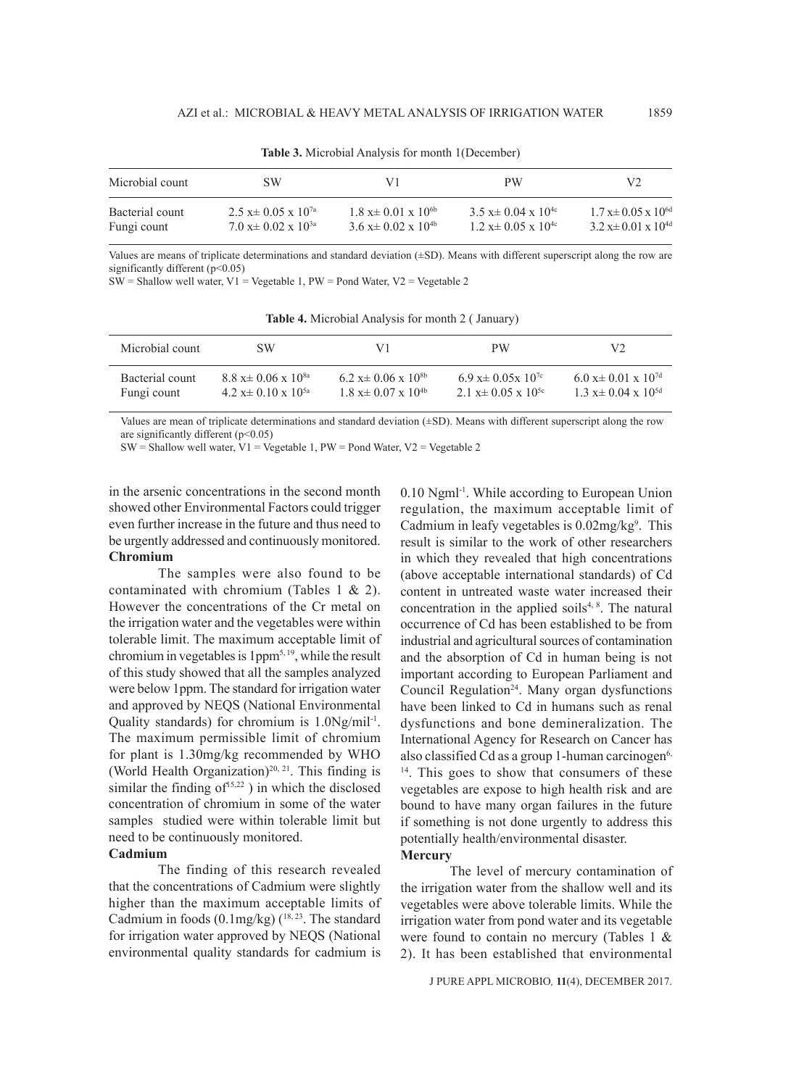| Microbial count | SW                                          | V1                                                 | PW                                          | V2                                                 |
|-----------------|---------------------------------------------|----------------------------------------------------|---------------------------------------------|----------------------------------------------------|
| Bacterial count | $2.5 \text{ x} \pm 0.05 \text{ x } 10^{7a}$ | $1.8 \text{ x} \pm 0.01 \text{ x } 10^{\text{6b}}$ | $3.5 \text{ x} \pm 0.04 \text{ x } 10^{4c}$ | $1.7 \text{ x} \pm 0.05 \text{ x } 10^{\text{6d}}$ |
| Fungi count     | $7.0 \text{ x} \pm 0.02 \text{ x } 10^{3a}$ | $3.6 \text{ x} \pm 0.02 \text{ x } 10^{4b}$        | $1.2 \text{ x} \pm 0.05 \text{ x } 10^{4c}$ | $3.2 \text{ x} \pm 0.01 \text{ x } 10^{4d}$        |

**Table 3.** Microbial Analysis for month 1(December)

Values are means of triplicate determinations and standard deviation (±SD). Means with different superscript along the row are significantly different (p<0.05)

 $SW = Shallow$  well water,  $V1 = Vegetable 1$ ,  $PW = Pond Water$ ,  $V2 = Vegetable 2$ 

| <b>Table 4.</b> Microbial Analysis for month 2 (January) |    |  |           |  |  |
|----------------------------------------------------------|----|--|-----------|--|--|
| ount                                                     | 3W |  | <b>PW</b> |  |  |

| Microbial count | SW                                          | V1                                                 | PW                                          | V2                                          |
|-----------------|---------------------------------------------|----------------------------------------------------|---------------------------------------------|---------------------------------------------|
| Bacterial count | $8.8 \text{ x} \pm 0.06 \text{ x } 10^{8a}$ | $6.2 \text{ x} \pm 0.06 \text{ x } 10^{\text{8b}}$ | 6.9 x $\pm$ 0.05 x 10 <sup>7</sup>          | 6.0 $x \pm 0.01 \times 10^{7d}$             |
| Fungi count     | $4.2 \text{ x} \pm 0.10 \text{ x } 10^{5a}$ | $1.8 \text{ x} \pm 0.07 \text{ x } 10^{4}$         | $2.1 \text{ x} \pm 0.05 \text{ x } 10^{5c}$ | $1.3 \text{ x} \pm 0.04 \text{ x } 10^{5d}$ |

Values are mean of triplicate determinations and standard deviation (±SD). Means with different superscript along the row are significantly different (p<0.05)

 $SW = Shallow$  well water,  $V1 = Vegetable 1$ ,  $PW = Pond Water$ ,  $V2 = Vegetable 2$ 

in the arsenic concentrations in the second month showed other Environmental Factors could trigger even further increase in the future and thus need to be urgently addressed and continuously monitored. **Chromium**

The samples were also found to be contaminated with chromium (Tables 1 & 2). However the concentrations of the Cr metal on the irrigation water and the vegetables were within tolerable limit. The maximum acceptable limit of chromium in vegetables is 1ppm<sup>5, 19</sup>, while the result of this study showed that all the samples analyzed were below 1ppm. The standard for irrigation water and approved by NEQS (National Environmental Quality standards) for chromium is 1.0Ng/mil-1. The maximum permissible limit of chromium for plant is 1.30mg/kg recommended by WHO (World Health Organization)<sup>20, 21</sup>. This finding is similar the finding  $of^{15,22}$ ) in which the disclosed concentration of chromium in some of the water samples studied were within tolerable limit but need to be continuously monitored.

#### **Cadmium**

The finding of this research revealed that the concentrations of Cadmium were slightly higher than the maximum acceptable limits of Cadmium in foods  $(0.1 \text{mg/kg})$  ( $^{18, 23}$ . The standard for irrigation water approved by NEQS (National environmental quality standards for cadmium is

0.10 Ngml-1. While according to European Union regulation, the maximum acceptable limit of Cadmium in leafy vegetables is  $0.02 \text{mg/kg}^9$ . This result is similar to the work of other researchers in which they revealed that high concentrations (above acceptable international standards) of Cd content in untreated waste water increased their concentration in the applied soils<sup>4, 8</sup>. The natural occurrence of Cd has been established to be from industrial and agricultural sources of contamination and the absorption of Cd in human being is not important according to European Parliament and Council Regulation<sup>24</sup>. Many organ dysfunctions have been linked to Cd in humans such as renal dysfunctions and bone demineralization. The International Agency for Research on Cancer has also classified Cd as a group 1-human carcinogen $6$ , <sup>14</sup>. This goes to show that consumers of these vegetables are expose to high health risk and are bound to have many organ failures in the future if something is not done urgently to address this potentially health/environmental disaster.

## **Mercury**

The level of mercury contamination of the irrigation water from the shallow well and its vegetables were above tolerable limits. While the irrigation water from pond water and its vegetable were found to contain no mercury (Tables 1 & 2). It has been established that environmental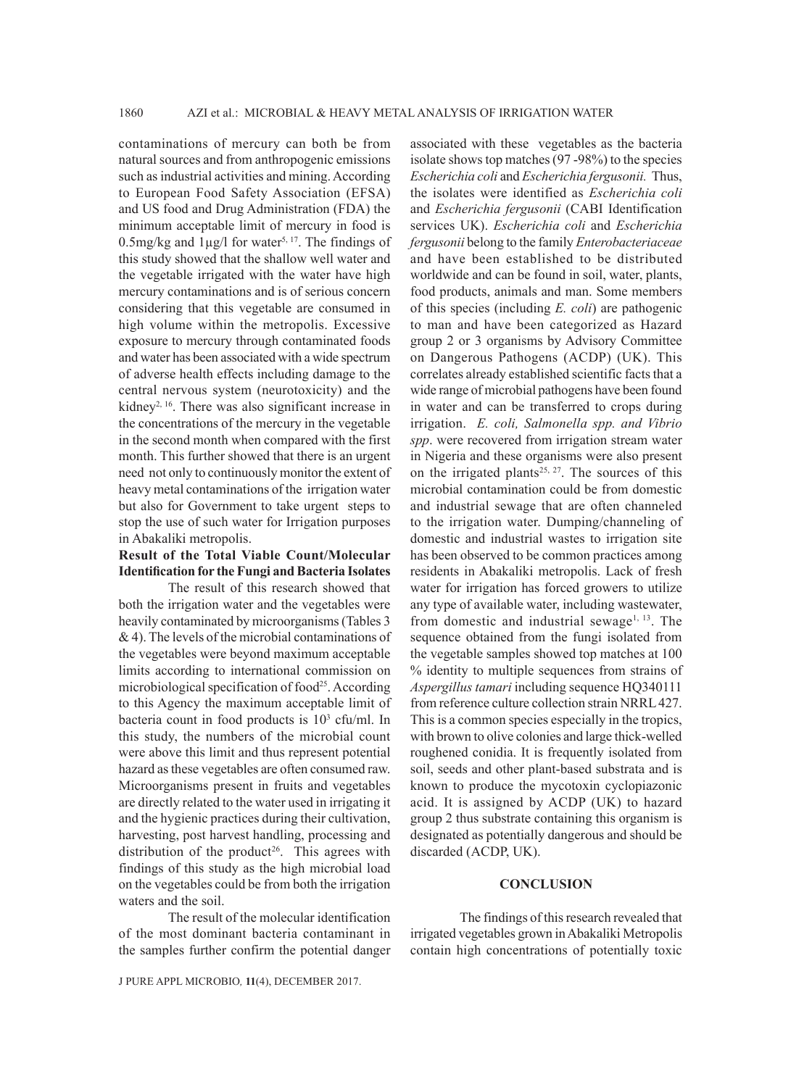contaminations of mercury can both be from natural sources and from anthropogenic emissions such as industrial activities and mining. According to European Food Safety Association (EFSA) and US food and Drug Administration (FDA) the minimum acceptable limit of mercury in food is  $0.5$ mg/kg and  $1\mu$ g/l for water<sup>5, 17</sup>. The findings of this study showed that the shallow well water and the vegetable irrigated with the water have high mercury contaminations and is of serious concern considering that this vegetable are consumed in high volume within the metropolis. Excessive exposure to mercury through contaminated foods and water has been associated with a wide spectrum of adverse health effects including damage to the central nervous system (neurotoxicity) and the kidney<sup>2, 16</sup>. There was also significant increase in the concentrations of the mercury in the vegetable in the second month when compared with the first month. This further showed that there is an urgent need not only to continuously monitor the extent of heavy metal contaminations of the irrigation water but also for Government to take urgent steps to stop the use of such water for Irrigation purposes in Abakaliki metropolis.

# **Result of the Total Viable Count/Molecular Identification for the Fungi and Bacteria Isolates**

The result of this research showed that both the irrigation water and the vegetables were heavily contaminated by microorganisms (Tables 3 & 4). The levels of the microbial contaminations of the vegetables were beyond maximum acceptable limits according to international commission on microbiological specification of food<sup>25</sup>. According to this Agency the maximum acceptable limit of bacteria count in food products is  $10<sup>3</sup>$  cfu/ml. In this study, the numbers of the microbial count were above this limit and thus represent potential hazard as these vegetables are often consumed raw. Microorganisms present in fruits and vegetables are directly related to the water used in irrigating it and the hygienic practices during their cultivation, harvesting, post harvest handling, processing and distribution of the product<sup>26</sup>. This agrees with findings of this study as the high microbial load on the vegetables could be from both the irrigation waters and the soil.

The result of the molecular identification of the most dominant bacteria contaminant in the samples further confirm the potential danger

J PURE APPL MICROBIO*,* **11**(4), DECEMBER 2017.

associated with these vegetables as the bacteria isolate shows top matches (97 -98%) to the species *Escherichia coli* and *Escherichia fergusonii.* Thus, the isolates were identified as *Escherichia coli* and *Escherichia fergusonii* (CABI Identification services UK). *Escherichia coli* and *Escherichia fergusonii* belong to the family *Enterobacteriaceae* and have been established to be distributed worldwide and can be found in soil, water, plants, food products, animals and man. Some members of this species (including *E. coli*) are pathogenic to man and have been categorized as Hazard group 2 or 3 organisms by Advisory Committee on Dangerous Pathogens (ACDP) (UK). This correlates already established scientific facts that a wide range of microbial pathogens have been found in water and can be transferred to crops during irrigation. *E. coli, Salmonella spp. and Vibrio spp*. were recovered from irrigation stream water in Nigeria and these organisms were also present on the irrigated plants<sup>25, 27</sup>. The sources of this microbial contamination could be from domestic and industrial sewage that are often channeled to the irrigation water. Dumping/channeling of domestic and industrial wastes to irrigation site has been observed to be common practices among residents in Abakaliki metropolis. Lack of fresh water for irrigation has forced growers to utilize any type of available water, including wastewater, from domestic and industrial sewage<sup>1, 13</sup>. The sequence obtained from the fungi isolated from the vegetable samples showed top matches at 100 % identity to multiple sequences from strains of *Aspergillus tamari* including sequence HQ340111 from reference culture collection strain NRRL 427. This is a common species especially in the tropics, with brown to olive colonies and large thick-welled roughened conidia. It is frequently isolated from soil, seeds and other plant-based substrata and is known to produce the mycotoxin cyclopiazonic acid. It is assigned by ACDP (UK) to hazard group 2 thus substrate containing this organism is designated as potentially dangerous and should be discarded (ACDP, UK).

#### **CONCLUSION**

The findings of this research revealed that irrigated vegetables grown in Abakaliki Metropolis contain high concentrations of potentially toxic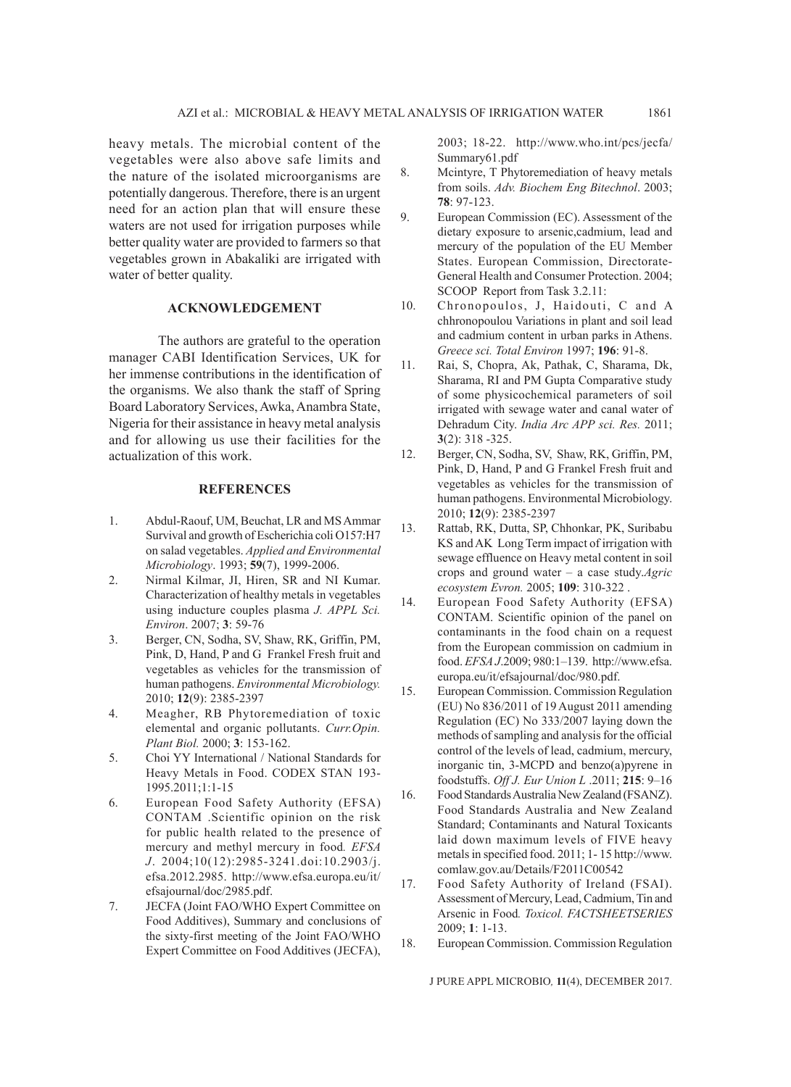heavy metals. The microbial content of the vegetables were also above safe limits and the nature of the isolated microorganisms are potentially dangerous. Therefore, there is an urgent need for an action plan that will ensure these waters are not used for irrigation purposes while better quality water are provided to farmers so that vegetables grown in Abakaliki are irrigated with water of better quality.

## **ACKNOWLEDGEMENT**

The authors are grateful to the operation manager CABI Identification Services, UK for her immense contributions in the identification of the organisms. We also thank the staff of Spring Board Laboratory Services, Awka, Anambra State, Nigeria for their assistance in heavy metal analysis and for allowing us use their facilities for the actualization of this work.

## **REFERENCES**

- 1. Abdul-Raouf, UM, Beuchat, LR and MS Ammar Survival and growth of Escherichia coli O157:H7 on salad vegetables. *Applied and Environmental Microbiology*. 1993; **59**(7), 1999-2006.
- 2. Nirmal Kilmar, JI, Hiren, SR and NI Kumar. Characterization of healthy metals in vegetables using inducture couples plasma *J. APPL Sci. Environ*. 2007; **3**: 59-76
- 3. Berger, CN, Sodha, SV, Shaw, RK, Griffin, PM, Pink, D, Hand, P and G Frankel Fresh fruit and vegetables as vehicles for the transmission of human pathogens. *Environmental Microbiology.*  2010; **12**(9): 2385-2397
- 4. Meagher, RB Phytoremediation of toxic elemental and organic pollutants. *Curr.Opin. Plant Biol.* 2000; **3**: 153-162.
- 5. Choi YY International / National Standards for Heavy Metals in Food. CODEX STAN 193- 1995.2011;1:1-15
- 6. European Food Safety Authority (EFSA) CONTAM .Scientific opinion on the risk for public health related to the presence of mercury and methyl mercury in food*. EFSA J*. 2004;10(12):2985-3241.doi:10.2903/j. efsa.2012.2985. http://www.efsa.europa.eu/it/ efsajournal/doc/2985.pdf.
- 7. JECFA (Joint FAO/WHO Expert Committee on Food Additives), Summary and conclusions of the sixty-first meeting of the Joint FAO/WHO Expert Committee on Food Additives (JECFA),

2003; 18-22. http://www.who.int/pcs/jecfa/ Summary61.pdf

- 8. Mcintyre, T Phytoremediation of heavy metals from soils. *Adv. Biochem Eng Bitechnol*. 2003; **78**: 97-123.
- 9. European Commission (EC). Assessment of the dietary exposure to arsenic,cadmium, lead and mercury of the population of the EU Member States. European Commission, Directorate-General Health and Consumer Protection. 2004; SCOOP Report from Task 3.2.11:
- 10. Chronopoulos, J, Haidouti, C and A chhronopoulou Variations in plant and soil lead and cadmium content in urban parks in Athens. *Greece sci. Total Environ* 1997; **196**: 91-8.
- 11. Rai, S, Chopra, Ak, Pathak, C, Sharama, Dk, Sharama, RI and PM Gupta Comparative study of some physicochemical parameters of soil irrigated with sewage water and canal water of Dehradum City. *India Arc APP sci. Res.* 2011; **3**(2): 318 -325.
- 12. Berger, CN, Sodha, SV, Shaw, RK, Griffin, PM, Pink, D, Hand, P and G Frankel Fresh fruit and vegetables as vehicles for the transmission of human pathogens. Environmental Microbiology. 2010; **12**(9): 2385-2397
- 13. Rattab, RK, Dutta, SP, Chhonkar, PK, Suribabu KS and AK Long Term impact of irrigation with sewage effluence on Heavy metal content in soil crops and ground water – a case study.*Agric ecosystem Evron.* 2005; **109**: 310-322 .
- 14. European Food Safety Authority (EFSA) CONTAM. Scientific opinion of the panel on contaminants in the food chain on a request from the European commission on cadmium in food. *EFSA J*.2009; 980:1–139. http://www.efsa. europa.eu/it/efsajournal/doc/980.pdf.
- 15. European Commission. Commission Regulation (EU) No 836/2011 of 19 August 2011 amending Regulation (EC) No 333/2007 laying down the methods of sampling and analysis for the official control of the levels of lead, cadmium, mercury, inorganic tin, 3-MCPD and benzo(a)pyrene in foodstuffs. *Off J. Eur Union L* .2011; **215**: 9–16
- 16. Food Standards Australia New Zealand (FSANZ). Food Standards Australia and New Zealand Standard; Contaminants and Natural Toxicants laid down maximum levels of FIVE heavy metals in specified food. 2011; 1- 15 http://www. comlaw.gov.au/Details/F2011C00542
- 17. Food Safety Authority of Ireland (FSAI). Assessment of Mercury, Lead, Cadmium, Tin and Arsenic in Food*. Toxicol. FACTSHEETSERIES* 2009; **1**: 1-13.
- 18. European Commission. Commission Regulation